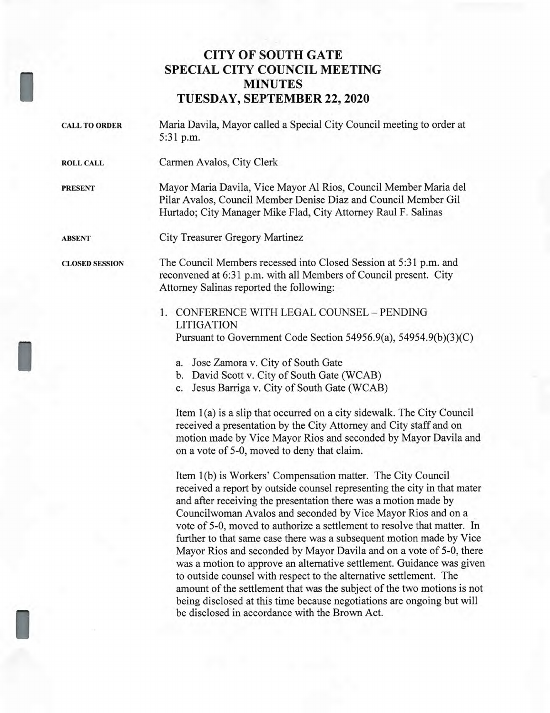## **CITY OF SOUTH GATE SPECIAL CITY COUNCIL MEETING MINUTES TUESDAY, SEPTEMBER 22, 2020**

I

I

I

| <b>CALL TO ORDER</b>  | Maria Davila, Mayor called a Special City Council meeting to order at<br>5:31 p.m.                                                                                                                                                                             |
|-----------------------|----------------------------------------------------------------------------------------------------------------------------------------------------------------------------------------------------------------------------------------------------------------|
| <b>ROLL CALL</b>      | Carmen Avalos, City Clerk                                                                                                                                                                                                                                      |
| <b>PRESENT</b>        | Mayor Maria Davila, Vice Mayor Al Rios, Council Member Maria del<br>Pilar Avalos, Council Member Denise Diaz and Council Member Gil<br>Hurtado; City Manager Mike Flad, City Attorney Raul F. Salinas                                                          |
| <b>ABSENT</b>         | City Treasurer Gregory Martinez                                                                                                                                                                                                                                |
| <b>CLOSED SESSION</b> | The Council Members recessed into Closed Session at 5:31 p.m. and<br>reconvened at 6:31 p.m. with all Members of Council present. City<br>Attorney Salinas reported the following:                                                                             |
|                       | CONFERENCE WITH LEGAL COUNSEL - PENDING<br>1.<br><b>LITIGATION</b>                                                                                                                                                                                             |
|                       | Pursuant to Government Code Section 54956.9(a), 54954.9(b)(3)(C)                                                                                                                                                                                               |
|                       | a. Jose Zamora v. City of South Gate                                                                                                                                                                                                                           |
|                       | b. David Scott v. City of South Gate (WCAB)                                                                                                                                                                                                                    |
|                       | c. Jesus Barriga v. City of South Gate (WCAB)                                                                                                                                                                                                                  |
|                       | Item 1(a) is a slip that occurred on a city sidewalk. The City Council<br>received a presentation by the City Attorney and City staff and on<br>motion made by Vice Mayor Rios and seconded by Mayor Davila and<br>on a vote of 5-0, moved to deny that claim. |
|                       | Item 1(b) is Workers' Compensation matter. The City Council<br>received a report by outside counsel representing the city in that mater<br>and after receiving the presentation there was a motion made by                                                     |

Councilwoman Avalos and seconded by Vice Mayor Rios and on a vote of 5-0, moved to authorize a settlement to resolve that matter. In further to that same case there was a subsequent motion made by Vice Mayor Rios and seconded by Mayor Davila and on a vote of 5-0, there was a motion to approve an alternative settlement. Guidance was given to outside counsel with respect to the alternative settlement. The amount of the settlement that was the subject of the two motions is not being disclosed at this time because negotiations are ongoing but will be disclosed in accordance with the Brown Act.